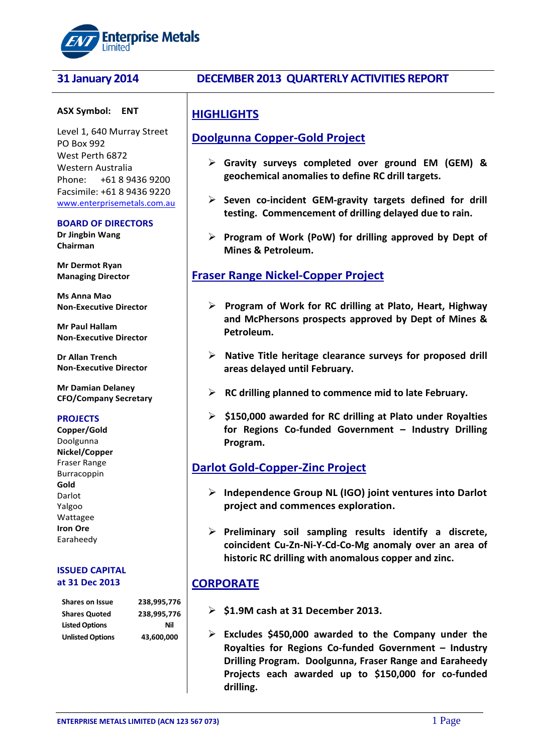

# **31 January 2014 DECEMBER 2013 QUARTERLY ACTIVITIES REPORT**

#### **ASX Symbol: ENT**

Level 1, 640 Murray Street PO Box 992 West Perth 6872 Western Australia Phone: +61 8 9436 9200 Facsimile: +61 8 9436 9220 [www.enterprisemetals.com.au](http://www.enterprisemetals.com.au/)

#### **BOARD OF DIRECTORS**

**Dr Jingbin Wang Chairman**

**Mr Dermot Ryan Managing Director**

**Ms Anna Mao Non-Executive Director**

**Mr Paul Hallam Non-Executive Director**

**Dr Allan Trench Non-Executive Director**

**Mr Damian Delaney CFO/Company Secretary**

#### **PROJECTS**

**Copper/Gold** Doolgunna **Nickel/Copper** Fraser Range Burracoppin **Gold** Darlot Yalgoo Wattagee **Iron Ore** Earaheedy

### **ISSUED CAPITAL at 31 Dec 2013**

| <b>Shares on Issue</b>  | 238,995,7  |
|-------------------------|------------|
| <b>Shares Quoted</b>    | 238,995,77 |
| <b>Listed Options</b>   | Nil        |
| <b>Unlisted Options</b> | 43,600,00  |

**Shares on Issue 238,995,776 Shares Quoted 238,995,776 Unlisted Options 43,600,000**

# **HIGHLIGHTS**

# **Doolgunna Copper-Gold Project**

- **Gravity surveys completed over ground EM (GEM) & geochemical anomalies to define RC drill targets.**
- **Seven co-incident GEM-gravity targets defined for drill testing. Commencement of drilling delayed due to rain.**
- **Program of Work (PoW) for drilling approved by Dept of Mines & Petroleum.**

# **Fraser Range Nickel-Copper Project**

- **Program of Work for RC drilling at Plato, Heart, Highway and McPhersons prospects approved by Dept of Mines & Petroleum.**
- **Native Title heritage clearance surveys for proposed drill areas delayed until February.**
- **RC drilling planned to commence mid to late February.**
- **\$150,000 awarded for RC drilling at Plato under Royalties for Regions Co-funded Government – Industry Drilling Program.**

# **Darlot Gold-Copper-Zinc Project**

- **Independence Group NL (IGO) joint ventures into Darlot project and commences exploration.**
- **Preliminary soil sampling results identify a discrete, coincident Cu-Zn-Ni-Y-Cd-Co-Mg anomaly over an area of historic RC drilling with anomalous copper and zinc.**

# **CORPORATE**

- **\$1.9M cash at 31 December 2013.**
- **Excludes \$450,000 awarded to the Company under the Royalties for Regions Co-funded Government – Industry Drilling Program. Doolgunna, Fraser Range and Earaheedy Projects each awarded up to \$150,000 for co-funded drilling.**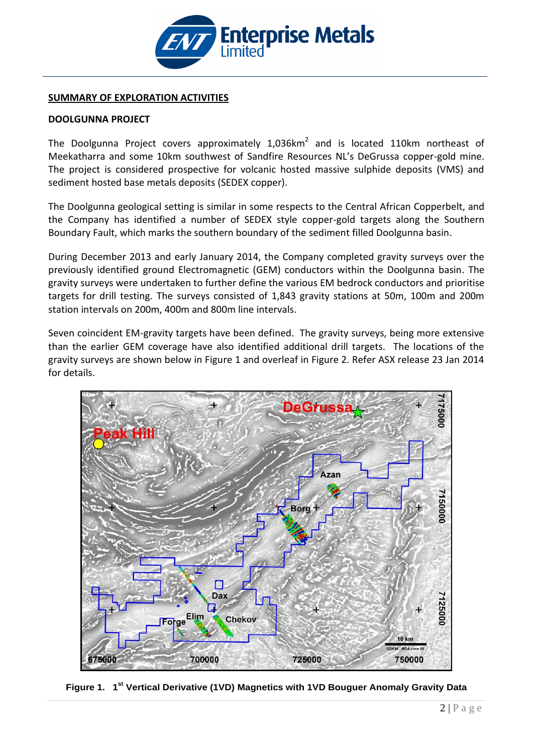

## **SUMMARY OF EXPLORATION ACTIVITIES**

## **DOOLGUNNA PROJECT**

The Doolgunna Project covers approximately 1,036km<sup>2</sup> and is located 110km northeast of Meekatharra and some 10km southwest of Sandfire Resources NL's DeGrussa copper-gold mine. The project is considered prospective for volcanic hosted massive sulphide deposits (VMS) and sediment hosted base metals deposits (SEDEX copper).

The Doolgunna geological setting is similar in some respects to the Central African Copperbelt, and the Company has identified a number of SEDEX style copper-gold targets along the Southern Boundary Fault, which marks the southern boundary of the sediment filled Doolgunna basin.

During December 2013 and early January 2014, the Company completed gravity surveys over the previously identified ground Electromagnetic (GEM) conductors within the Doolgunna basin. The gravity surveys were undertaken to further define the various EM bedrock conductors and prioritise targets for drill testing. The surveys consisted of 1,843 gravity stations at 50m, 100m and 200m station intervals on 200m, 400m and 800m line intervals.

Seven coincident EM-gravity targets have been defined. The gravity surveys, being more extensive than the earlier GEM coverage have also identified additional drill targets. The locations of the gravity surveys are shown below in Figure 1 and overleaf in Figure 2. Refer ASX release 23 Jan 2014 for details.



**Figure 1. 1 st Vertical Derivative (1VD) Magnetics with 1VD Bouguer Anomaly Gravity Data**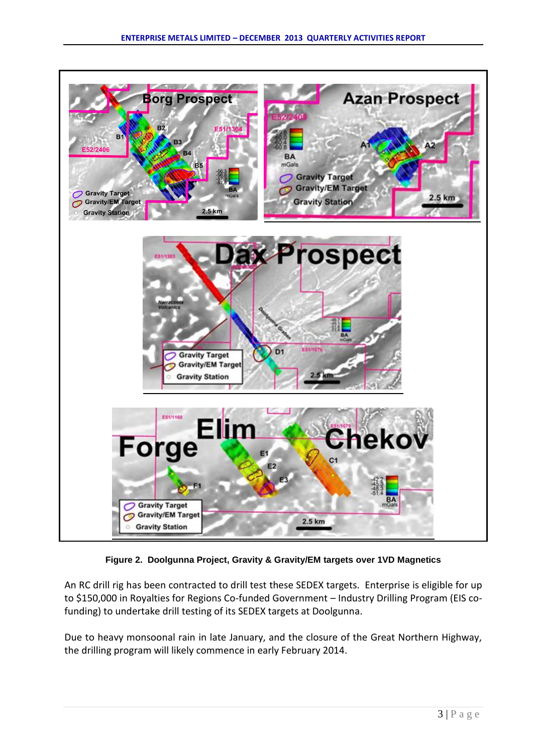

**Figure 2. Doolgunna Project, Gravity & Gravity/EM targets over 1VD Magnetics**

An RC drill rig has been contracted to drill test these SEDEX targets. Enterprise is eligible for up to \$150,000 in Royalties for Regions Co-funded Government – Industry Drilling Program (EIS cofunding) to undertake drill testing of its SEDEX targets at Doolgunna.

Due to heavy monsoonal rain in late January, and the closure of the Great Northern Highway, the drilling program will likely commence in early February 2014.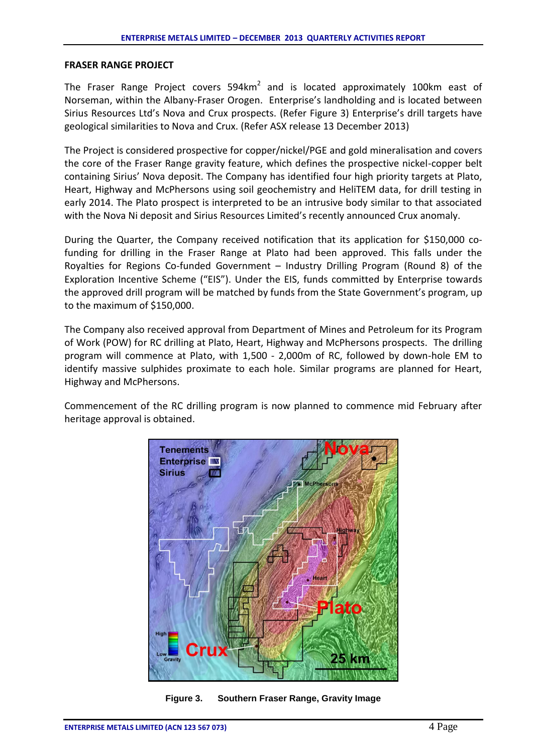### **FRASER RANGE PROJECT**

The Fraser Range Project covers 594 $km^2$  and is located approximately 100km east of Norseman, within the Albany-Fraser Orogen. Enterprise's landholding and is located between Sirius Resources Ltd's Nova and Crux prospects. (Refer Figure 3) Enterprise's drill targets have geological similarities to Nova and Crux. (Refer ASX release 13 December 2013)

The Project is considered prospective for copper/nickel/PGE and gold mineralisation and covers the core of the Fraser Range gravity feature, which defines the prospective nickel-copper belt containing Sirius' Nova deposit. The Company has identified four high priority targets at Plato, Heart, Highway and McPhersons using soil geochemistry and HeliTEM data, for drill testing in early 2014. The Plato prospect is interpreted to be an intrusive body similar to that associated with the Nova Ni deposit and Sirius Resources Limited's recently announced Crux anomaly.

During the Quarter, the Company received notification that its application for \$150,000 cofunding for drilling in the Fraser Range at Plato had been approved. This falls under the Royalties for Regions Co-funded Government – Industry Drilling Program (Round 8) of the Exploration Incentive Scheme ("EIS"). Under the EIS, funds committed by Enterprise towards the approved drill program will be matched by funds from the State Government's program, up to the maximum of \$150,000.

The Company also received approval from Department of Mines and Petroleum for its Program of Work (POW) for RC drilling at Plato, Heart, Highway and McPhersons prospects. The drilling program will commence at Plato, with 1,500 - 2,000m of RC, followed by down-hole EM to identify massive sulphides proximate to each hole. Similar programs are planned for Heart, Highway and McPhersons.

Commencement of the RC drilling program is now planned to commence mid February after heritage approval is obtained.



**Figure 3. Southern Fraser Range, Gravity Image**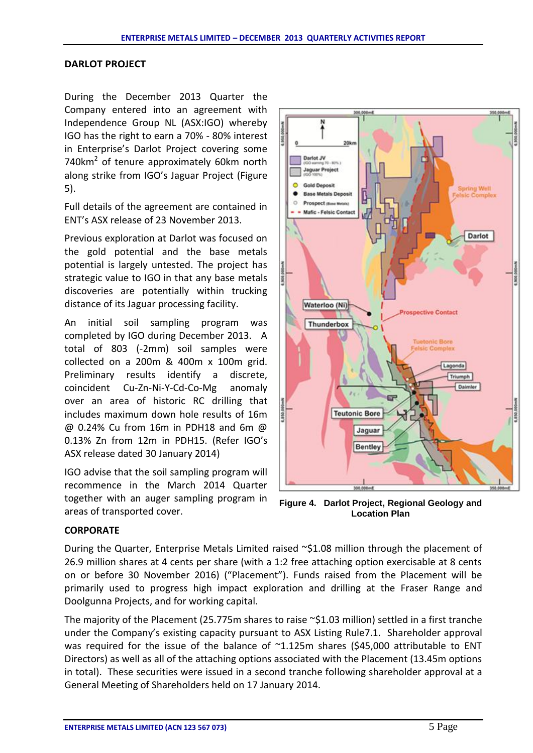### **DARLOT PROJECT**

During the December 2013 Quarter the Company entered into an agreement with Independence Group NL (ASX:IGO) whereby IGO has the right to earn a 70% - 80% interest in Enterprise's Darlot Project covering some 740km<sup>2</sup> of tenure approximately 60km north along strike from IGO's Jaguar Project (Figure 5).

Full details of the agreement are contained in ENT's ASX release of 23 November 2013.

Previous exploration at Darlot was focused on the gold potential and the base metals potential is largely untested. The project has strategic value to IGO in that any base metals discoveries are potentially within trucking distance of its Jaguar processing facility.

An initial soil sampling program was completed by IGO during December 2013. A total of 803 (-2mm) soil samples were collected on a 200m & 400m x 100m grid. Preliminary results identify a discrete, coincident Cu-Zn-Ni-Y-Cd-Co-Mg anomaly over an area of historic RC drilling that includes maximum down hole results of 16m @ 0.24% Cu from 16m in PDH18 and 6m @ 0.13% Zn from 12m in PDH15. (Refer IGO's ASX release dated 30 January 2014)

IGO advise that the soil sampling program will recommence in the March 2014 Quarter together with an auger sampling program in areas of transported cover.



**Figure 4. Darlot Project, Regional Geology and Location Plan**

## **CORPORATE**

During the Quarter, Enterprise Metals Limited raised ~\$1.08 million through the placement of 26.9 million shares at 4 cents per share (with a 1:2 free attaching option exercisable at 8 cents on or before 30 November 2016) ("Placement"). Funds raised from the Placement will be primarily used to progress high impact exploration and drilling at the Fraser Range and Doolgunna Projects, and for working capital.

The majority of the Placement (25.775m shares to raise  $\sim$ \$1.03 million) settled in a first tranche under the Company's existing capacity pursuant to ASX Listing Rule7.1. Shareholder approval was required for the issue of the balance of ~1.125m shares (\$45,000 attributable to ENT Directors) as well as all of the attaching options associated with the Placement (13.45m options in total). These securities were issued in a second tranche following shareholder approval at a General Meeting of Shareholders held on 17 January 2014.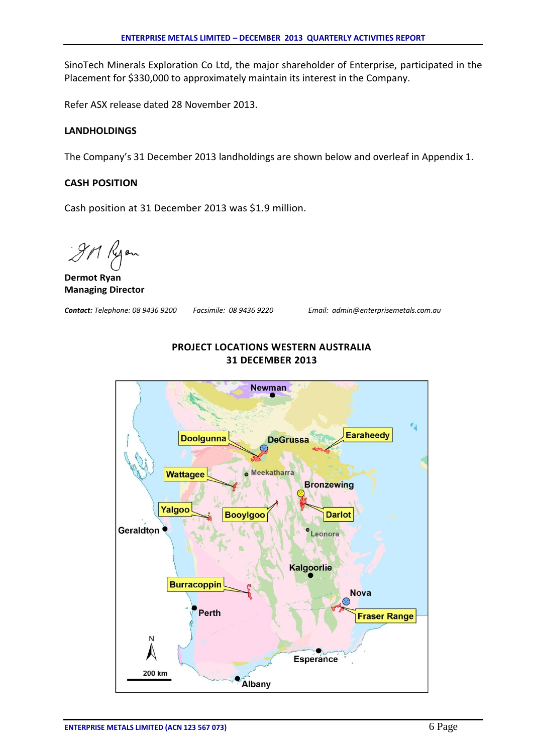SinoTech Minerals Exploration Co Ltd, the major shareholder of Enterprise, participated in the Placement for \$330,000 to approximately maintain its interest in the Company.

Refer ASX release dated 28 November 2013.

## **LANDHOLDINGS**

The Company's 31 December 2013 landholdings are shown below and overleaf in Appendix 1.

## **CASH POSITION**

Cash position at 31 December 2013 was \$1.9 million.

**Dermot Ryan Managing Director**

*Contact: Telephone: 08 9436 9200 Facsimile: 08 9436 9220 Email: admin@enterprisemetals.com.au*



## **PROJECT LOCATIONS WESTERN AUSTRALIA 31 DECEMBER 2013**